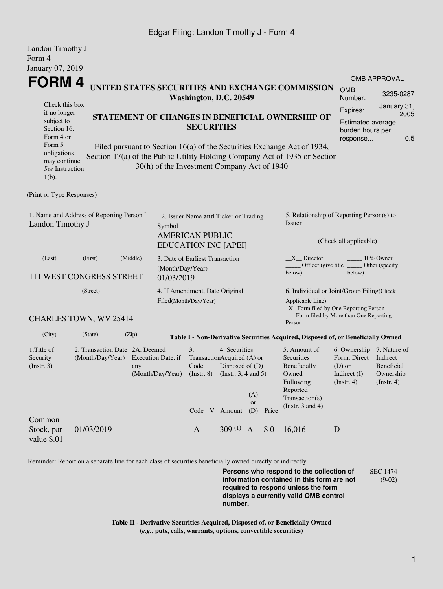### Edgar Filing: Landon Timothy J - Form 4

| Landon Timothy J                                                                                  |                                                    |                                                                                                                                                                                                                           |                                                                                               |                                                                                                             |                         |       |                                                                                                                         |                                                                                             |                                                                |  |
|---------------------------------------------------------------------------------------------------|----------------------------------------------------|---------------------------------------------------------------------------------------------------------------------------------------------------------------------------------------------------------------------------|-----------------------------------------------------------------------------------------------|-------------------------------------------------------------------------------------------------------------|-------------------------|-------|-------------------------------------------------------------------------------------------------------------------------|---------------------------------------------------------------------------------------------|----------------------------------------------------------------|--|
| Form 4<br>January 07, 2019                                                                        |                                                    |                                                                                                                                                                                                                           |                                                                                               |                                                                                                             |                         |       |                                                                                                                         |                                                                                             |                                                                |  |
| <b>FORM4</b><br>Check this box<br>if no longer<br>subject to                                      |                                                    | UNITED STATES SECURITIES AND EXCHANGE COMMISSION<br><b>OMB</b><br>Washington, D.C. 20549<br>Number:<br>Expires:<br>STATEMENT OF CHANGES IN BENEFICIAL OWNERSHIP OF                                                        |                                                                                               |                                                                                                             |                         |       |                                                                                                                         |                                                                                             | <b>OMB APPROVAL</b><br>3235-0287<br>January 31,<br>2005        |  |
| Section 16.<br>Form 4 or<br>Form 5<br>obligations<br>may continue.<br>See Instruction<br>$1(b)$ . |                                                    | <b>SECURITIES</b><br>Filed pursuant to Section 16(a) of the Securities Exchange Act of 1934,<br>Section 17(a) of the Public Utility Holding Company Act of 1935 or Section<br>30(h) of the Investment Company Act of 1940 |                                                                                               |                                                                                                             |                         |       | <b>Estimated average</b><br>burden hours per<br>0.5<br>response                                                         |                                                                                             |                                                                |  |
| (Print or Type Responses)                                                                         |                                                    |                                                                                                                                                                                                                           |                                                                                               |                                                                                                             |                         |       |                                                                                                                         |                                                                                             |                                                                |  |
| 1. Name and Address of Reporting Person*<br>Landon Timothy J<br>Symbol                            |                                                    |                                                                                                                                                                                                                           | 2. Issuer Name and Ticker or Trading<br><b>AMERICAN PUBLIC</b><br><b>EDUCATION INC [APEI]</b> |                                                                                                             |                         |       | 5. Relationship of Reporting Person(s) to<br><b>Issuer</b><br>(Check all applicable)                                    |                                                                                             |                                                                |  |
| (Last)                                                                                            | (First)<br>111 WEST CONGRESS STREET                | (Middle)<br>01/03/2019                                                                                                                                                                                                    | 3. Date of Earliest Transaction<br>(Month/Day/Year)                                           |                                                                                                             |                         |       | X Director<br>Officer (give title<br>below)                                                                             | below)                                                                                      | 10% Owner<br>Other (specify                                    |  |
| (Street)                                                                                          |                                                    |                                                                                                                                                                                                                           | 4. If Amendment, Date Original<br>Filed(Month/Day/Year)                                       |                                                                                                             |                         |       | 6. Individual or Joint/Group Filing(Check<br>Applicable Line)<br>_X_ Form filed by One Reporting Person                 |                                                                                             |                                                                |  |
|                                                                                                   | CHARLES TOWN, WV 25414                             |                                                                                                                                                                                                                           |                                                                                               |                                                                                                             |                         |       | Person                                                                                                                  | Form filed by More than One Reporting                                                       |                                                                |  |
| (City)                                                                                            | (State)                                            | (Zip)                                                                                                                                                                                                                     |                                                                                               |                                                                                                             |                         |       | Table I - Non-Derivative Securities Acquired, Disposed of, or Beneficially Owned                                        |                                                                                             |                                                                |  |
| 1. Title of<br>Security<br>(Insert. 3)                                                            | 2. Transaction Date 2A. Deemed<br>(Month/Day/Year) | Execution Date, if<br>any<br>(Month/Day/Year)                                                                                                                                                                             | 3.<br>Code<br>$($ Instr. $8)$                                                                 | 4. Securities<br>TransactionAcquired (A) or<br>Disposed of (D)<br>(Instr. $3, 4$ and $5$ )<br>Code V Amount | (A)<br><b>or</b><br>(D) | Price | 5. Amount of<br>Securities<br>Beneficially<br>Owned<br>Following<br>Reported<br>Transaction(s)<br>(Instr. $3$ and $4$ ) | 6. Ownership 7. Nature of<br>Form: Direct<br>$(D)$ or<br>Indirect $(I)$<br>$($ Instr. 4 $)$ | Indirect<br><b>Beneficial</b><br>Ownership<br>$($ Instr. 4 $)$ |  |
| Common<br>Stock, par<br>value \$.01                                                               | 01/03/2019                                         |                                                                                                                                                                                                                           | $\mathbf{A}$                                                                                  | 309 $(1)$ A                                                                                                 |                         | \$0   | 16,016                                                                                                                  | D                                                                                           |                                                                |  |

Reminder: Report on a separate line for each class of securities beneficially owned directly or indirectly.

**Persons who respond to the collection of information contained in this form are not required to respond unless the form displays a currently valid OMB control number.** SEC 1474 (9-02)

**Table II - Derivative Securities Acquired, Disposed of, or Beneficially Owned (***e.g.***, puts, calls, warrants, options, convertible securities)**